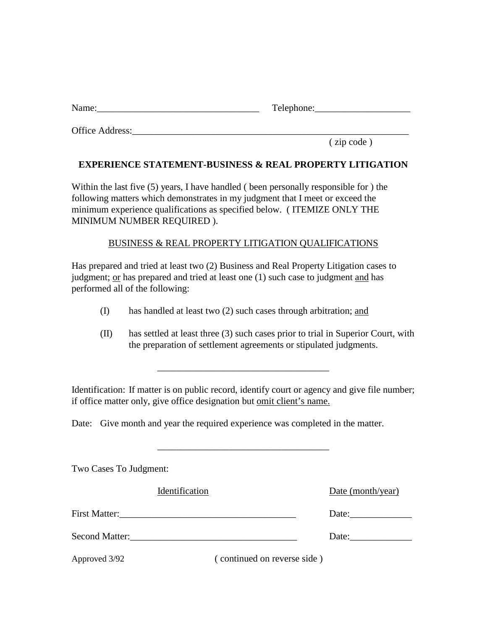| Name | ᠇᠇<br>ohone:<br>.<br>__ |
|------|-------------------------|
|      |                         |

Office Address:

( zip code )

## **EXPERIENCE STATEMENT-BUSINESS & REAL PROPERTY LITIGATION**

Within the last five (5) years, I have handled ( been personally responsible for ) the following matters which demonstrates in my judgment that I meet or exceed the minimum experience qualifications as specified below. ( ITEMIZE ONLY THE MINIMUM NUMBER REQUIRED ).

## BUSINESS & REAL PROPERTY LITIGATION QUALIFICATIONS

Has prepared and tried at least two (2) Business and Real Property Litigation cases to judgment; or has prepared and tried at least one (1) such case to judgment and has performed all of the following:

- (I) has handled at least two (2) such cases through arbitration; and
- (II) has settled at least three (3) such cases prior to trial in Superior Court, with the preparation of settlement agreements or stipulated judgments.

Identification: If matter is on public record, identify court or agency and give file number; if office matter only, give office designation but omit client's name.

\_\_\_\_\_\_\_\_\_\_\_\_\_\_\_\_\_\_\_\_\_\_\_\_\_\_\_\_\_\_\_\_\_\_\_\_

\_\_\_\_\_\_\_\_\_\_\_\_\_\_\_\_\_\_\_\_\_\_\_\_\_\_\_\_\_\_\_\_\_\_\_\_

Date: Give month and year the required experience was completed in the matter.

| Two Cases To Judgment: |                             |                   |
|------------------------|-----------------------------|-------------------|
| Identification         |                             | Date (month/year) |
| <b>First Matter:</b>   |                             | Date:             |
| <b>Second Matter:</b>  |                             | Date:             |
| Approved 3/92          | (continued on reverse side) |                   |